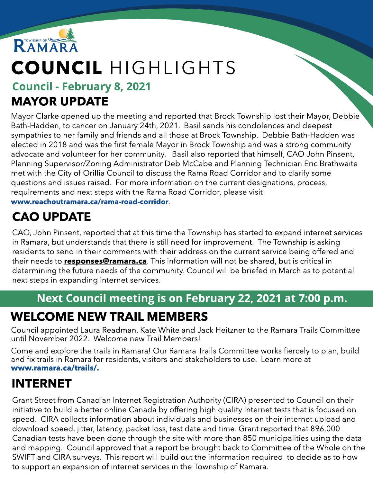

# COUNCIL HIGHLIGHTS

#### Council - February 8, 2021 MAYOR UPDATE

Mayor Clarke opened up the meeting and reported that Brock Township lost their Mayor, Debbie Bath-Hadden, to cancer on January 24th, 2021. Basil sends his condolences and deepest sympathies to her family and friends and all those at Brock Township. Debbie Bath-Hadden was elected in 2018 and was the first female Mayor in Brock Township and was a strong community advocate and volunteer for her community. Basil also reported that himself, CAO John Pinsent, Planning Supervisor/Zoning Administrator Deb McCabe and Planning Technician Eric Brathwaite met with the City of Orillia Council to discuss the Rama Road Corridor and to clarify some questions and issues raised. For more information on the current designations, process, requirements and next steps with the Rama Road Corridor, please visit ww[w.reachoutramara.ca/rama-road-corridor](http://www.reachoutramara.ca/rama-road-corridor).

# CAO UPDATE

CAO, John Pinsent, reported that at this time the Township has started to expand internet services in Ramara, but understands that there is still need for improvement. The Township is asking residents to send in their comments with their address on the current service being offered and their needs to **responses@ramara.ca**. This information will not be shared, but is critical in determining the future needs of the community. Council will be briefed in March as to potential next steps in expanding internet services.

#### Next Council meeting is on February 22, 2021 at 7:00 p.m.

## WELCOME NEW TRAIL MEMBERS

Council appointed Laura Readman, Kate White and Jack Heitzner to the Ramara Trails Committee until November 2022. Welcome new Trail Members!

Come and explore the trails in Ramara! Our Ramara Trails Committee works fiercely to plan, build and fix trails in Ramara for residents, visitors and stakeholders to use. Learn more at ww[w.ramara.ca/trails/.](http://www.ramara.ca/trails/)

### INTERNET

Grant Street from Canadian Internet Registration Authority (CIRA) presented to Council on their initiative to build a better online Canada by offering high quality internet tests that is focused on speed. CIRA collects information about individuals and businesses on their internet upload and download speed, jitter, latency, packet loss, test date and time. Grant reported that 896,000 Canadian tests have been done through the site with more than 850 municipalities using the data and mapping. Council approved that a report be brought back to Committee of the Whole on the SWIFT and CIRA surveys. This report will build out the information required to decide as to how to support an expansion of internet services in the Township of Ramara.